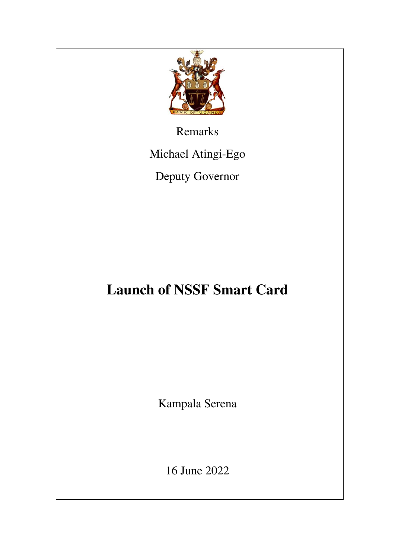

Remarks

Michael Atingi-Ego

Deputy Governor

## **Launch of NSSF Smart Card**

Kampala Serena

16 June 2022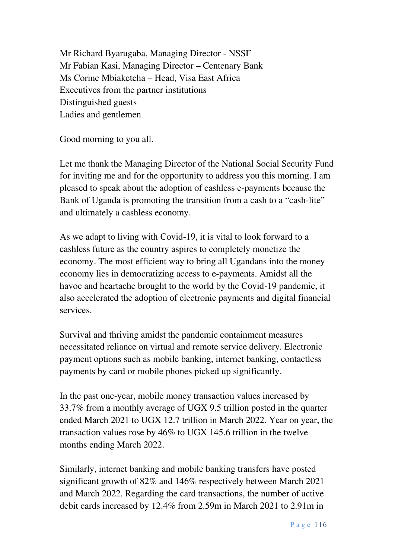Mr Richard Byarugaba, Managing Director - NSSF Mr Fabian Kasi, Managing Director – Centenary Bank Ms Corine Mbiaketcha – Head, Visa East Africa Executives from the partner institutions Distinguished guests Ladies and gentlemen

Good morning to you all.

Let me thank the Managing Director of the National Social Security Fund for inviting me and for the opportunity to address you this morning. I am pleased to speak about the adoption of cashless e-payments because the Bank of Uganda is promoting the transition from a cash to a "cash-lite" and ultimately a cashless economy.

As we adapt to living with Covid-19, it is vital to look forward to a cashless future as the country aspires to completely monetize the economy. The most efficient way to bring all Ugandans into the money economy lies in democratizing access to e-payments. Amidst all the havoc and heartache brought to the world by the Covid-19 pandemic, it also accelerated the adoption of electronic payments and digital financial services.

Survival and thriving amidst the pandemic containment measures necessitated reliance on virtual and remote service delivery. Electronic payment options such as mobile banking, internet banking, contactless payments by card or mobile phones picked up significantly.

In the past one-year, mobile money transaction values increased by 33.7% from a monthly average of UGX 9.5 trillion posted in the quarter ended March 2021 to UGX 12.7 trillion in March 2022. Year on year, the transaction values rose by 46% to UGX 145.6 trillion in the twelve months ending March 2022.

Similarly, internet banking and mobile banking transfers have posted significant growth of 82% and 146% respectively between March 2021 and March 2022. Regarding the card transactions, the number of active debit cards increased by 12.4% from 2.59m in March 2021 to 2.91m in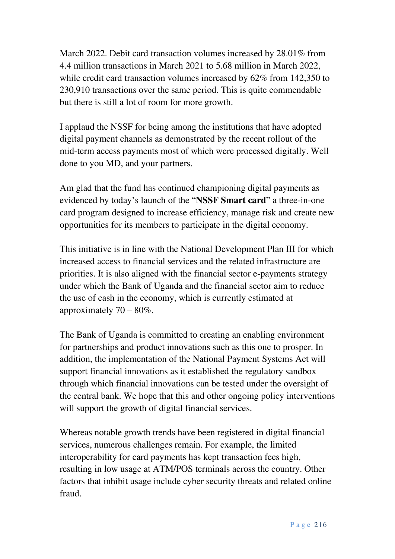March 2022. Debit card transaction volumes increased by 28.01% from 4.4 million transactions in March 2021 to 5.68 million in March 2022, while credit card transaction volumes increased by 62% from 142,350 to 230,910 transactions over the same period. This is quite commendable but there is still a lot of room for more growth.

I applaud the NSSF for being among the institutions that have adopted digital payment channels as demonstrated by the recent rollout of the mid-term access payments most of which were processed digitally. Well done to you MD, and your partners.

Am glad that the fund has continued championing digital payments as evidenced by today's launch of the "**NSSF Smart card**" a three-in-one card program designed to increase efficiency, manage risk and create new opportunities for its members to participate in the digital economy.

This initiative is in line with the National Development Plan III for which increased access to financial services and the related infrastructure are priorities. It is also aligned with the financial sector e-payments strategy under which the Bank of Uganda and the financial sector aim to reduce the use of cash in the economy, which is currently estimated at approximately  $70 - 80\%$ .

The Bank of Uganda is committed to creating an enabling environment for partnerships and product innovations such as this one to prosper. In addition, the implementation of the National Payment Systems Act will support financial innovations as it established the regulatory sandbox through which financial innovations can be tested under the oversight of the central bank. We hope that this and other ongoing policy interventions will support the growth of digital financial services.

Whereas notable growth trends have been registered in digital financial services, numerous challenges remain. For example, the limited interoperability for card payments has kept transaction fees high, resulting in low usage at ATM/POS terminals across the country. Other factors that inhibit usage include cyber security threats and related online fraud.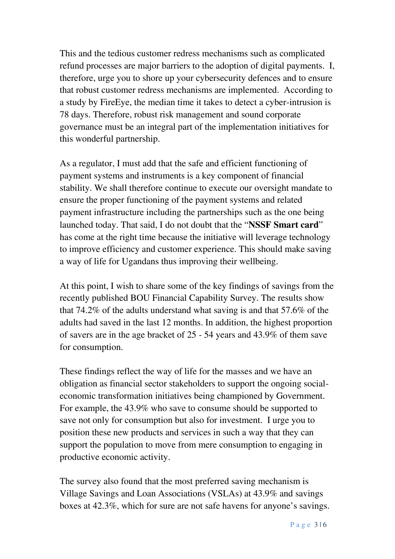This and the tedious customer redress mechanisms such as complicated refund processes are major barriers to the adoption of digital payments. I, therefore, urge you to shore up your cybersecurity defences and to ensure that robust customer redress mechanisms are implemented. According to a study by FireEye, the median time it takes to detect a cyber-intrusion is 78 days. Therefore, robust risk management and sound corporate governance must be an integral part of the implementation initiatives for this wonderful partnership.

As a regulator, I must add that the safe and efficient functioning of payment systems and instruments is a key component of financial stability. We shall therefore continue to execute our oversight mandate to ensure the proper functioning of the payment systems and related payment infrastructure including the partnerships such as the one being launched today. That said, I do not doubt that the "**NSSF Smart card**" has come at the right time because the initiative will leverage technology to improve efficiency and customer experience. This should make saving a way of life for Ugandans thus improving their wellbeing.

At this point, I wish to share some of the key findings of savings from the recently published BOU Financial Capability Survey. The results show that 74.2% of the adults understand what saving is and that 57.6% of the adults had saved in the last 12 months. In addition, the highest proportion of savers are in the age bracket of 25 - 54 years and 43.9% of them save for consumption.

These findings reflect the way of life for the masses and we have an obligation as financial sector stakeholders to support the ongoing socialeconomic transformation initiatives being championed by Government. For example, the 43.9% who save to consume should be supported to save not only for consumption but also for investment. I urge you to position these new products and services in such a way that they can support the population to move from mere consumption to engaging in productive economic activity.

The survey also found that the most preferred saving mechanism is Village Savings and Loan Associations (VSLAs) at 43.9% and savings boxes at 42.3%, which for sure are not safe havens for anyone's savings.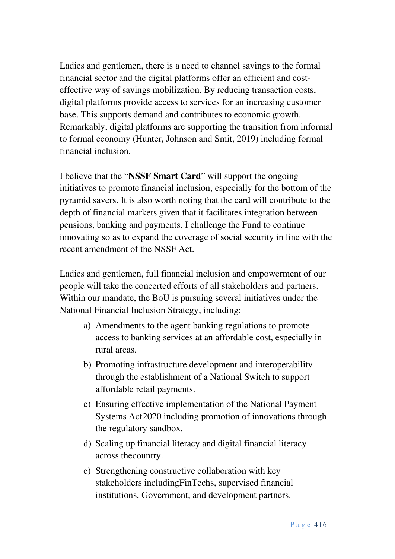Ladies and gentlemen, there is a need to channel savings to the formal financial sector and the digital platforms offer an efficient and costeffective way of savings mobilization. By reducing transaction costs, digital platforms provide access to services for an increasing customer base. This supports demand and contributes to economic growth. Remarkably, digital platforms are supporting the transition from informal to formal economy (Hunter, Johnson and Smit, 2019) including formal financial inclusion.

I believe that the "**NSSF Smart Card**" will support the ongoing initiatives to promote financial inclusion, especially for the bottom of the pyramid savers. It is also worth noting that the card will contribute to the depth of financial markets given that it facilitates integration between pensions, banking and payments. I challenge the Fund to continue innovating so as to expand the coverage of social security in line with the recent amendment of the NSSF Act.

Ladies and gentlemen, full financial inclusion and empowerment of our people will take the concerted efforts of all stakeholders and partners. Within our mandate, the BoU is pursuing several initiatives under the National Financial Inclusion Strategy, including:

- a) Amendments to the agent banking regulations to promote access to banking services at an affordable cost, especially in rural areas.
- b) Promoting infrastructure development and interoperability through the establishment of a National Switch to support affordable retail payments.
- c) Ensuring effective implementation of the National Payment Systems Act 2020 including promotion of innovations through the regulatory sandbox.
- d) Scaling up financial literacy and digital financial literacy across thecountry.
- e) Strengthening constructive collaboration with key stakeholders includingFinTechs, supervised financial institutions, Government, and development partners.